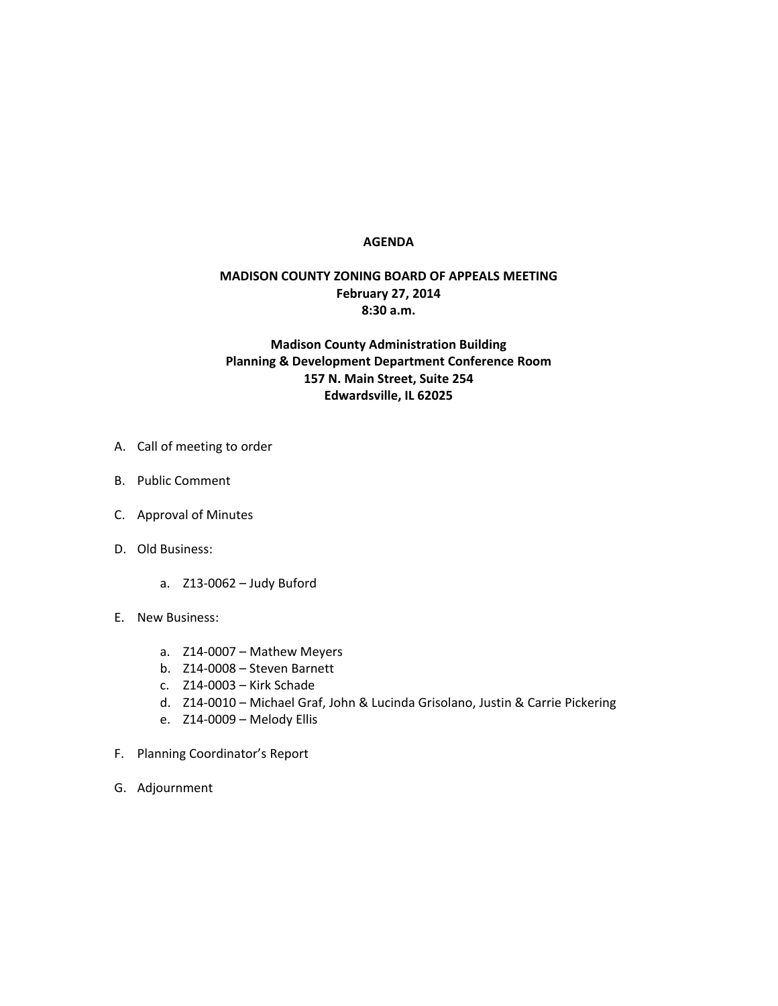## **AGENDA**

## **MADISON COUNTY ZONING BOARD OF APPEALS MEETING February 27, 2014 8:30 a.m.**

## **Madison County Administration Building Planning & Development Department Conference Room 157 N. Main Street, Suite 254 Edwardsville, IL 62025**

- A. Call of meeting to order
- B. Public Comment
- C. Approval of Minutes
- D. Old Business:
	- a. Z13-0062 Judy Buford
- E. New Business:
	- a. Z14-0007 Mathew Meyers
	- b. Z14-0008 Steven Barnett
	- c. Z14-0003 Kirk Schade
	- d. Z14-0010 Michael Graf, John & Lucinda Grisolano, Justin & Carrie Pickering
	- e. Z14-0009 Melody Ellis
- F. Planning Coordinator's Report
- G. Adjournment